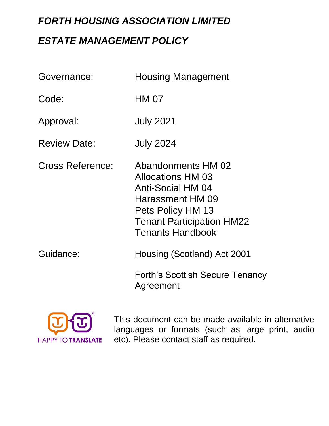# *FORTH HOUSING ASSOCIATION LIMITED ESTATE MANAGEMENT POLICY*

| Governance:             | <b>Housing Management</b>                                                                                                                                                          |
|-------------------------|------------------------------------------------------------------------------------------------------------------------------------------------------------------------------------|
| Code:                   | <b>HM 07</b>                                                                                                                                                                       |
| Approval:               | <b>July 2021</b>                                                                                                                                                                   |
| <b>Review Date:</b>     | <b>July 2024</b>                                                                                                                                                                   |
| <b>Cross Reference:</b> | Abandonments HM 02<br><b>Allocations HM 03</b><br><b>Anti-Social HM 04</b><br>Harassment HM 09<br>Pets Policy HM 13<br><b>Tenant Participation HM22</b><br><b>Tenants Handbook</b> |
| Guidance:               | Housing (Scotland) Act 2001                                                                                                                                                        |
|                         | Forth's Scottish Secure Tenancy<br>Agreement                                                                                                                                       |



This document can be made available in alternative languages or formats (such as large print, audio etc). Please contact staff as required.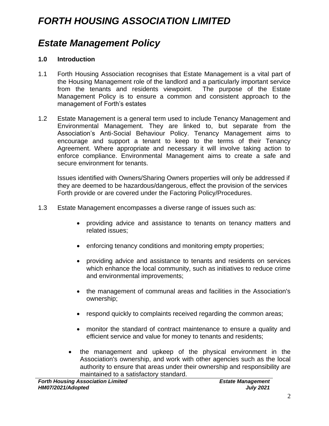# *FORTH HOUSING ASSOCIATION LIMITED*

# *Estate Management Policy*

#### **1.0 Introduction**

- 1.1 Forth Housing Association recognises that Estate Management is a vital part of the Housing Management role of the landlord and a particularly important service from the tenants and residents viewpoint. The purpose of the Estate Management Policy is to ensure a common and consistent approach to the management of Forth's estates
- 1.2 Estate Management is a general term used to include Tenancy Management and Environmental Management. They are linked to, but separate from the Association's Anti-Social Behaviour Policy. Tenancy Management aims to encourage and support a tenant to keep to the terms of their Tenancy Agreement. Where appropriate and necessary it will involve taking action to enforce compliance. Environmental Management aims to create a safe and secure environment for tenants.

Issues identified with Owners/Sharing Owners properties will only be addressed if they are deemed to be hazardous/dangerous, effect the provision of the services Forth provide or are covered under the Factoring Policy/Procedures.

- 1.3 Estate Management encompasses a diverse range of issues such as:
	- providing advice and assistance to tenants on tenancy matters and related issues;
	- enforcing tenancy conditions and monitoring empty properties;
	- providing advice and assistance to tenants and residents on services which enhance the local community, such as initiatives to reduce crime and environmental improvements;
	- the management of communal areas and facilities in the Association's ownership;
	- respond quickly to complaints received regarding the common areas;
	- monitor the standard of contract maintenance to ensure a quality and efficient service and value for money to tenants and residents;
	- the management and upkeep of the physical environment in the Association's ownership, and work with other agencies such as the local authority to ensure that areas under their ownership and responsibility are maintained to a satisfactory standard.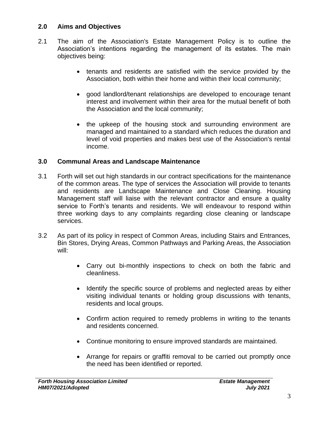### **2.0 Aims and Objectives**

- 2.1 The aim of the Association's Estate Management Policy is to outline the Association's intentions regarding the management of its estates. The main objectives being:
	- tenants and residents are satisfied with the service provided by the Association, both within their home and within their local community;
	- good landlord/tenant relationships are developed to encourage tenant interest and involvement within their area for the mutual benefit of both the Association and the local community;
	- the upkeep of the housing stock and surrounding environment are managed and maintained to a standard which reduces the duration and level of void properties and makes best use of the Association's rental income.

### **3.0 Communal Areas and Landscape Maintenance**

- 3.1 Forth will set out high standards in our contract specifications for the maintenance of the common areas. The type of services the Association will provide to tenants and residents are Landscape Maintenance and Close Cleaning. Housing Management staff will liaise with the relevant contractor and ensure a quality service to Forth's tenants and residents. We will endeavour to respond within three working days to any complaints regarding close cleaning or landscape services.
- 3.2 As part of its policy in respect of Common Areas, including Stairs and Entrances, Bin Stores, Drying Areas, Common Pathways and Parking Areas, the Association will:
	- Carry out bi-monthly inspections to check on both the fabric and cleanliness.
	- Identify the specific source of problems and neglected areas by either visiting individual tenants or holding group discussions with tenants, residents and local groups.
	- Confirm action required to remedy problems in writing to the tenants and residents concerned.
	- Continue monitoring to ensure improved standards are maintained.
	- Arrange for repairs or graffiti removal to be carried out promptly once the need has been identified or reported.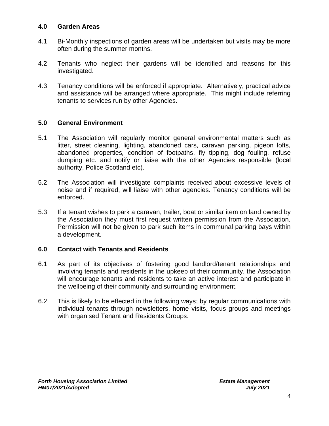#### **4.0 Garden Areas**

- 4.1 Bi-Monthly inspections of garden areas will be undertaken but visits may be more often during the summer months.
- 4.2 Tenants who neglect their gardens will be identified and reasons for this investigated.
- 4.3 Tenancy conditions will be enforced if appropriate. Alternatively, practical advice and assistance will be arranged where appropriate. This might include referring tenants to services run by other Agencies.

### **5.0 General Environment**

- 5.1 The Association will regularly monitor general environmental matters such as litter, street cleaning, lighting, abandoned cars, caravan parking, pigeon lofts, abandoned properties*,* condition of footpaths, fly tipping, dog fouling, refuse dumping etc. and notify or liaise with the other Agencies responsible (local authority, Police Scotland etc).
- 5.2 The Association will investigate complaints received about excessive levels of noise and if required, will liaise with other agencies. Tenancy conditions will be enforced.
- 5.3 If a tenant wishes to park a caravan, trailer, boat or similar item on land owned by the Association they must first request written permission from the Association. Permission will not be given to park such items in communal parking bays within a development.

#### **6.0 Contact with Tenants and Residents**

- 6.1 As part of its objectives of fostering good landlord/tenant relationships and involving tenants and residents in the upkeep of their community, the Association will encourage tenants and residents to take an active interest and participate in the wellbeing of their community and surrounding environment.
- 6.2 This is likely to be effected in the following ways; by regular communications with individual tenants through newsletters, home visits, focus groups and meetings with organised Tenant and Residents Groups.